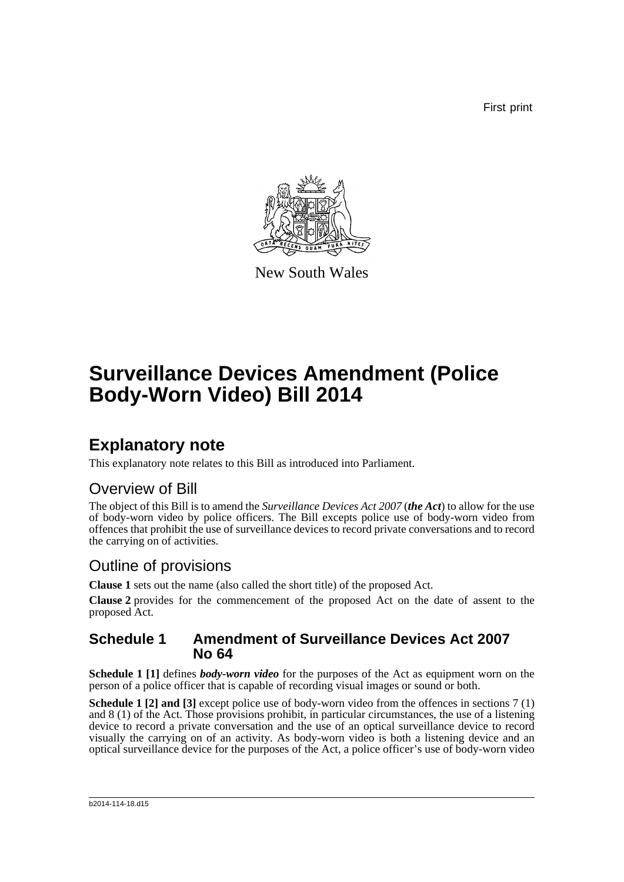First print



New South Wales

# **Surveillance Devices Amendment (Police Body-Worn Video) Bill 2014**

## **Explanatory note**

This explanatory note relates to this Bill as introduced into Parliament.

### Overview of Bill

The object of this Bill is to amend the *Surveillance Devices Act 2007* (*the Act*) to allow for the use of body-worn video by police officers. The Bill excepts police use of body-worn video from offences that prohibit the use of surveillance devices to record private conversations and to record the carrying on of activities.

### Outline of provisions

**Clause 1** sets out the name (also called the short title) of the proposed Act.

**Clause 2** provides for the commencement of the proposed Act on the date of assent to the proposed Act.

#### **Schedule 1 Amendment of Surveillance Devices Act 2007 No 64**

**Schedule 1 [1]** defines *body-worn video* for the purposes of the Act as equipment worn on the person of a police officer that is capable of recording visual images or sound or both.

**Schedule 1 [2] and [3]** except police use of body-worn video from the offences in sections 7 (1) and 8 (1) of the Act. Those provisions prohibit, in particular circumstances, the use of a listening device to record a private conversation and the use of an optical surveillance device to record visually the carrying on of an activity. As body-worn video is both a listening device and an optical surveillance device for the purposes of the Act, a police officer's use of body-worn video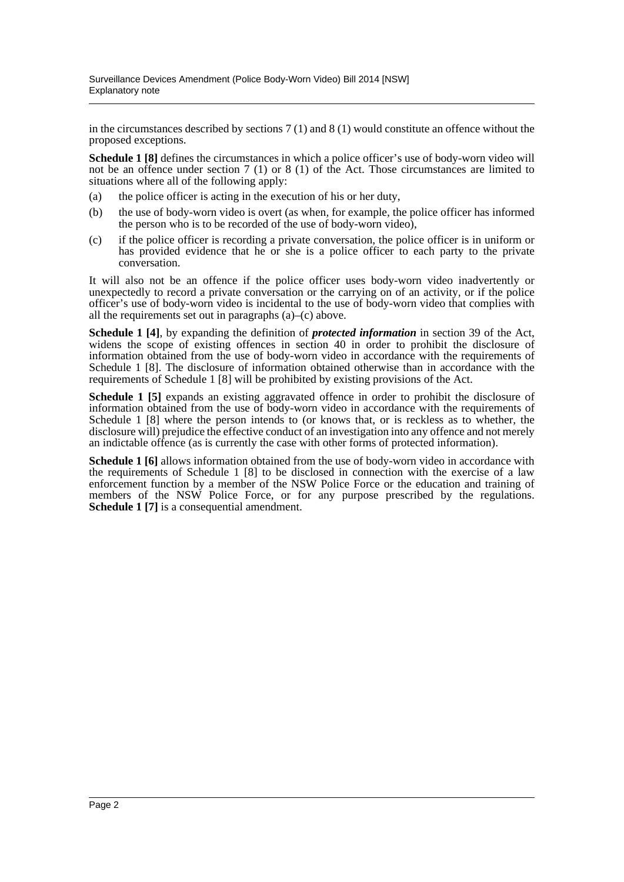in the circumstances described by sections 7 (1) and 8 (1) would constitute an offence without the proposed exceptions.

**Schedule 1 [8]** defines the circumstances in which a police officer's use of body-worn video will not be an offence under section 7 (1) or 8 (1) of the Act. Those circumstances are limited to situations where all of the following apply:

- (a) the police officer is acting in the execution of his or her duty,
- (b) the use of body-worn video is overt (as when, for example, the police officer has informed the person who is to be recorded of the use of body-worn video),
- (c) if the police officer is recording a private conversation, the police officer is in uniform or has provided evidence that he or she is a police officer to each party to the private conversation.

It will also not be an offence if the police officer uses body-worn video inadvertently or unexpectedly to record a private conversation or the carrying on of an activity, or if the police officer's use of body-worn video is incidental to the use of body-worn video that complies with all the requirements set out in paragraphs (a)–(c) above.

**Schedule 1 [4]**, by expanding the definition of *protected information* in section 39 of the Act, widens the scope of existing offences in section 40 in order to prohibit the disclosure of information obtained from the use of body-worn video in accordance with the requirements of Schedule 1 [8]. The disclosure of information obtained otherwise than in accordance with the requirements of Schedule 1 [8] will be prohibited by existing provisions of the Act.

**Schedule 1 [5]** expands an existing aggravated offence in order to prohibit the disclosure of information obtained from the use of body-worn video in accordance with the requirements of Schedule 1 [8] where the person intends to (or knows that, or is reckless as to whether, the disclosure will) prejudice the effective conduct of an investigation into any offence and not merely an indictable offence (as is currently the case with other forms of protected information).

**Schedule 1 [6]** allows information obtained from the use of body-worn video in accordance with the requirements of Schedule 1 [8] to be disclosed in connection with the exercise of a law enforcement function by a member of the NSW Police Force or the education and training of members of the NSW Police Force, or for any purpose prescribed by the regulations. **Schedule 1 [7]** is a consequential amendment.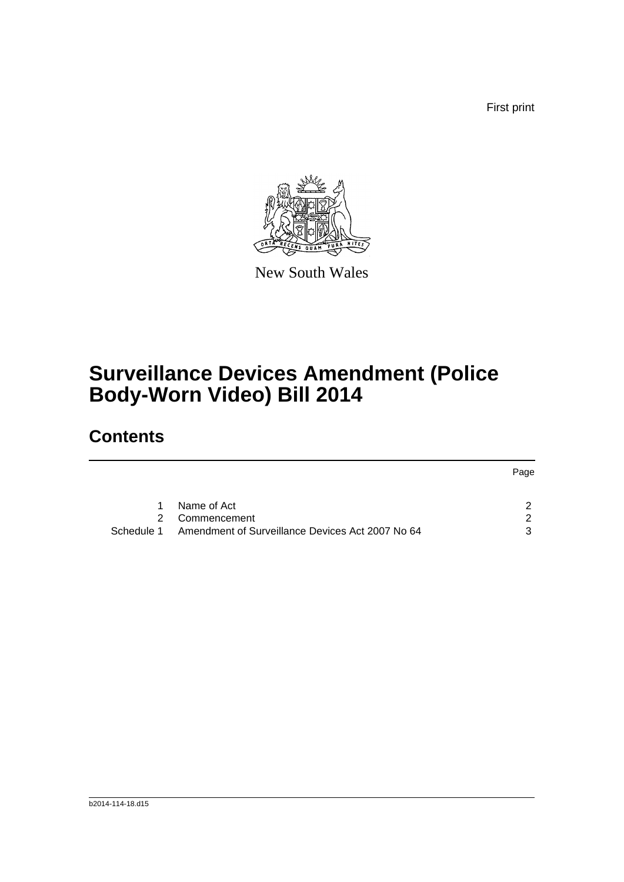First print



New South Wales

# **Surveillance Devices Amendment (Police Body-Worn Video) Bill 2014**

## **Contents**

|   |                                                             | Page          |
|---|-------------------------------------------------------------|---------------|
| 1 | Name of Act                                                 |               |
|   | 2 Commencement                                              | $\mathcal{P}$ |
|   | Schedule 1 Amendment of Surveillance Devices Act 2007 No 64 | 3             |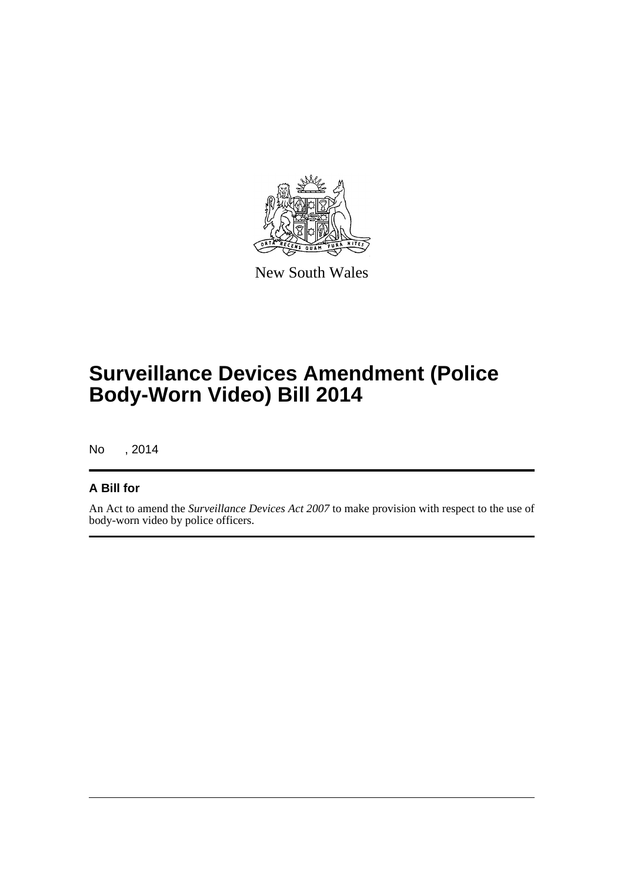

New South Wales

# **Surveillance Devices Amendment (Police Body-Worn Video) Bill 2014**

No , 2014

#### **A Bill for**

An Act to amend the *Surveillance Devices Act 2007* to make provision with respect to the use of body-worn video by police officers.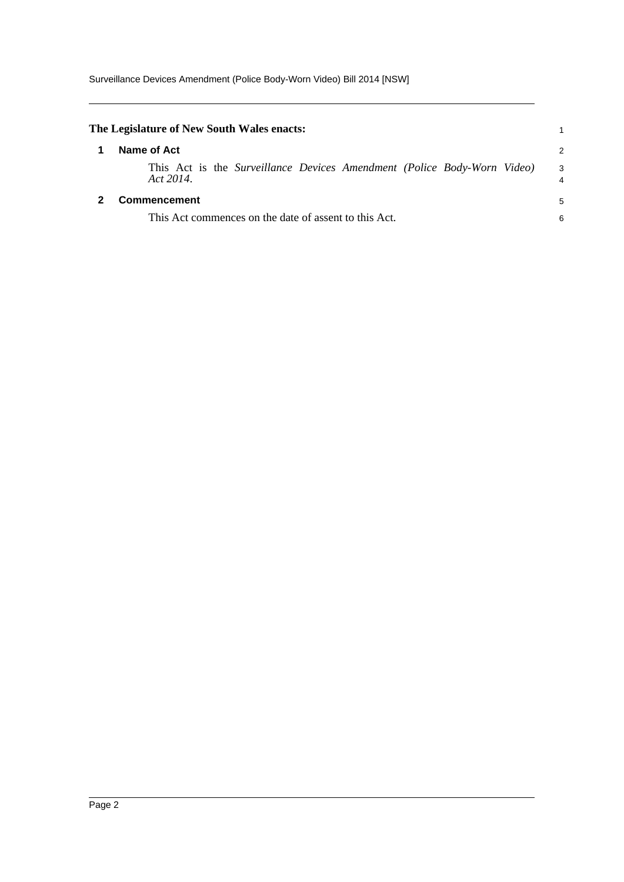<span id="page-4-1"></span><span id="page-4-0"></span>

| The Legislature of New South Wales enacts:                                           |        |  |  |
|--------------------------------------------------------------------------------------|--------|--|--|
| Name of Act                                                                          | 2      |  |  |
| This Act is the Surveillance Devices Amendment (Police Body-Worn Video)<br>Act 2014. | 3<br>4 |  |  |
| Commencement                                                                         | 5      |  |  |
| This Act commences on the date of assent to this Act.                                |        |  |  |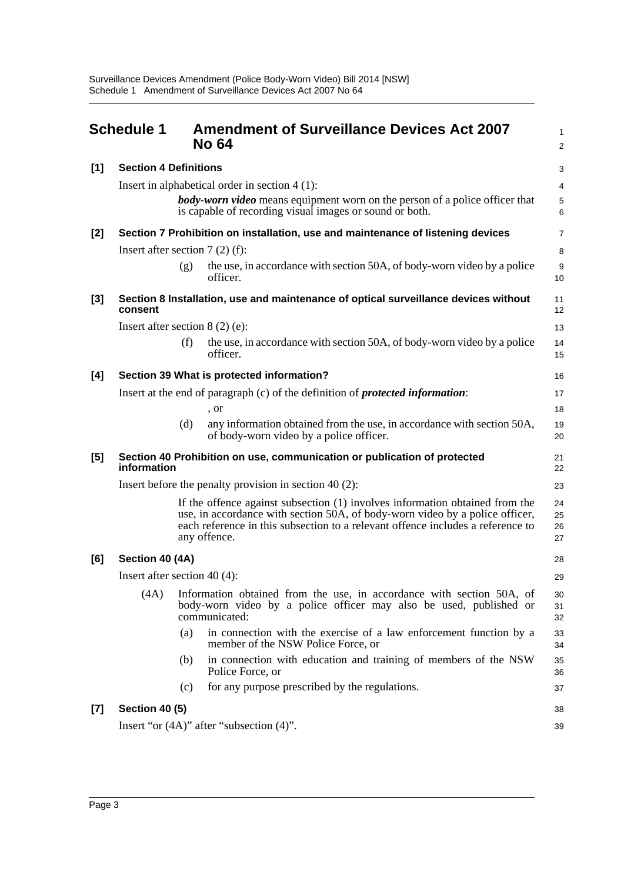<span id="page-5-0"></span>

|       | <b>Schedule 1</b>                                                                                                                             |                                                                                 | <b>Amendment of Surveillance Devices Act 2007</b><br><b>No 64</b>                                                                                                                                                                                               | $\mathbf{1}$<br>$\overline{2}$ |  |  |  |
|-------|-----------------------------------------------------------------------------------------------------------------------------------------------|---------------------------------------------------------------------------------|-----------------------------------------------------------------------------------------------------------------------------------------------------------------------------------------------------------------------------------------------------------------|--------------------------------|--|--|--|
| [1]   | <b>Section 4 Definitions</b>                                                                                                                  |                                                                                 |                                                                                                                                                                                                                                                                 |                                |  |  |  |
|       |                                                                                                                                               | Insert in alphabetical order in section $4(1)$ :                                |                                                                                                                                                                                                                                                                 |                                |  |  |  |
|       | <b>body-worn video</b> means equipment worn on the person of a police officer that<br>is capable of recording visual images or sound or both. |                                                                                 |                                                                                                                                                                                                                                                                 |                                |  |  |  |
| $[2]$ |                                                                                                                                               | Section 7 Prohibition on installation, use and maintenance of listening devices |                                                                                                                                                                                                                                                                 |                                |  |  |  |
|       | Insert after section $7(2)$ (f):                                                                                                              |                                                                                 |                                                                                                                                                                                                                                                                 | 8                              |  |  |  |
|       |                                                                                                                                               | (g)                                                                             | the use, in accordance with section 50A, of body-worn video by a police<br>officer.                                                                                                                                                                             | 9<br>10                        |  |  |  |
| $[3]$ | Section 8 Installation, use and maintenance of optical surveillance devices without<br>consent                                                |                                                                                 |                                                                                                                                                                                                                                                                 |                                |  |  |  |
|       | Insert after section $8(2)$ (e):                                                                                                              |                                                                                 |                                                                                                                                                                                                                                                                 | 13                             |  |  |  |
|       |                                                                                                                                               | (f)                                                                             | the use, in accordance with section 50A, of body-worn video by a police<br>officer.                                                                                                                                                                             | 14<br>15                       |  |  |  |
| [4]   | Section 39 What is protected information?                                                                                                     |                                                                                 |                                                                                                                                                                                                                                                                 |                                |  |  |  |
|       |                                                                                                                                               |                                                                                 | Insert at the end of paragraph (c) of the definition of <i>protected information</i> :                                                                                                                                                                          | 17                             |  |  |  |
|       |                                                                                                                                               |                                                                                 | , or                                                                                                                                                                                                                                                            | 18                             |  |  |  |
|       |                                                                                                                                               | (d)                                                                             | any information obtained from the use, in accordance with section 50A,<br>of body-worn video by a police officer.                                                                                                                                               | 19<br>20                       |  |  |  |
| [5]   | information                                                                                                                                   |                                                                                 | Section 40 Prohibition on use, communication or publication of protected                                                                                                                                                                                        | 21<br>22                       |  |  |  |
|       | Insert before the penalty provision in section 40 $(2)$ :                                                                                     |                                                                                 |                                                                                                                                                                                                                                                                 |                                |  |  |  |
|       |                                                                                                                                               |                                                                                 | If the offence against subsection (1) involves information obtained from the<br>use, in accordance with section 50A, of body-worn video by a police officer,<br>each reference in this subsection to a relevant offence includes a reference to<br>any offence. | 24<br>25<br>26<br>27           |  |  |  |
| [6]   | Section 40 (4A)                                                                                                                               |                                                                                 |                                                                                                                                                                                                                                                                 | 28                             |  |  |  |
|       | Insert after section 40 $(4)$ :                                                                                                               |                                                                                 |                                                                                                                                                                                                                                                                 |                                |  |  |  |
|       | (4A)                                                                                                                                          |                                                                                 | Information obtained from the use, in accordance with section 50A, of<br>body-worn video by a police officer may also be used, published or<br>communicated:                                                                                                    | 30<br>31<br>32                 |  |  |  |
|       |                                                                                                                                               | (a)                                                                             | in connection with the exercise of a law enforcement function by a<br>member of the NSW Police Force, or                                                                                                                                                        | 33<br>34                       |  |  |  |
|       |                                                                                                                                               | (b)                                                                             | in connection with education and training of members of the NSW<br>Police Force, or                                                                                                                                                                             | 35<br>36                       |  |  |  |
|       |                                                                                                                                               | (c)                                                                             | for any purpose prescribed by the regulations.                                                                                                                                                                                                                  | 37                             |  |  |  |
| $[7]$ | <b>Section 40 (5)</b>                                                                                                                         |                                                                                 |                                                                                                                                                                                                                                                                 | 38                             |  |  |  |
|       |                                                                                                                                               |                                                                                 | Insert "or $(4A)$ " after "subsection $(4)$ ".                                                                                                                                                                                                                  | 39                             |  |  |  |